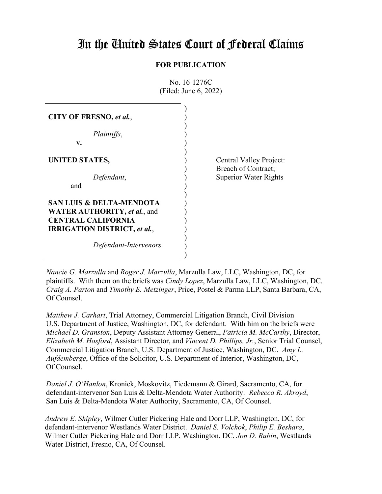# In the United States Court of Federal Claims

# **FOR PUBLICATION**

| CITY OF FRESNO, et al.,                                                                                 |                                              |
|---------------------------------------------------------------------------------------------------------|----------------------------------------------|
| Plaintiffs,<br>v.                                                                                       |                                              |
| <b>UNITED STATES,</b>                                                                                   | Central Valley Project:                      |
| Defendant,<br>and                                                                                       | Breach of Contract;<br>Superior Water Rights |
| <b>SAN LUIS &amp; DELTA-MENDOTA</b>                                                                     |                                              |
| <b>WATER AUTHORITY, et al., and</b><br><b>CENTRAL CALIFORNIA</b><br><b>IRRIGATION DISTRICT, et al.,</b> |                                              |
| Defendant-Intervenors.                                                                                  |                                              |

No. 16-1276C (Filed: June 6, 2022)

*Nancie G. Marzulla* and *Roger J. Marzulla*, Marzulla Law, LLC, Washington, DC, for plaintiffs. With them on the briefs was *Cindy Lopez*, Marzulla Law, LLC, Washington, DC. *Craig A. Parton* and *Timothy E. Metzinger*, Price, Postel & Parma LLP, Santa Barbara, CA, Of Counsel.

)

*Matthew J. Carhart*, Trial Attorney, Commercial Litigation Branch, Civil Division U.S. Department of Justice, Washington, DC, for defendant. With him on the briefs were *Michael D. Granston*, Deputy Assistant Attorney General, *Patricia M. McCarthy*, Director, *Elizabeth M. Hosford*, Assistant Director, and *Vincent D. Phillips, Jr.*, Senior Trial Counsel, Commercial Litigation Branch, U.S. Department of Justice, Washington, DC. *Amy L. Aufdemberge*, Office of the Solicitor, U.S. Department of Interior, Washington, DC, Of Counsel.

*Daniel J. O'Hanlon*, Kronick, Moskovitz, Tiedemann & Girard, Sacramento, CA, for defendant-intervenor San Luis & Delta-Mendota Water Authority. *Rebecca R. Akroyd*, San Luis & Delta-Mendota Water Authority, Sacramento, CA, Of Counsel.

*Andrew E. Shipley*, Wilmer Cutler Pickering Hale and Dorr LLP, Washington, DC, for defendant-intervenor Westlands Water District. *Daniel S. Volchok*, *Philip E. Beshara*, Wilmer Cutler Pickering Hale and Dorr LLP, Washington, DC, *Jon D. Rubin*, Westlands Water District, Fresno, CA, Of Counsel.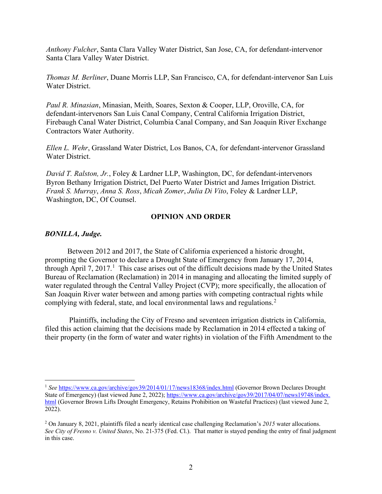*Anthony Fulcher*, Santa Clara Valley Water District, San Jose, CA, for defendant-intervenor Santa Clara Valley Water District.

*Thomas M. Berliner*, Duane Morris LLP, San Francisco, CA, for defendant-intervenor San Luis Water District.

*Paul R. Minasian*, Minasian, Meith, Soares, Sexton & Cooper, LLP, Oroville, CA, for defendant-intervenors San Luis Canal Company, Central California Irrigation District, Firebaugh Canal Water District, Columbia Canal Company, and San Joaquin River Exchange Contractors Water Authority.

*Ellen L. Wehr*, Grassland Water District, Los Banos, CA, for defendant-intervenor Grassland Water District.

*David T. Ralston, Jr.*, Foley & Lardner LLP, Washington, DC, for defendant-intervenors Byron Bethany Irrigation District, Del Puerto Water District and James Irrigation District. *Frank S. Murray*, *Anna S. Ross*, *Micah Zomer*, *Julia Di Vito*, Foley & Lardner LLP, Washington, DC, Of Counsel.

## **OPINION AND ORDER**

## *BONILLA, Judge.*

Between 2012 and 2017, the State of California experienced a historic drought, prompting the Governor to declare a Drought State of Emergency from January 17, 2014, through April 7, 20[1](#page-1-0)7.<sup>1</sup> This case arises out of the difficult decisions made by the United States Bureau of Reclamation (Reclamation) in 2014 in managing and allocating the limited supply of water regulated through the Central Valley Project (CVP); more specifically, the allocation of San Joaquin River water between and among parties with competing contractual rights while complying with federal, state, and local environmental laws and regulations.<sup>[2](#page-1-1)</sup>

Plaintiffs, including the City of Fresno and seventeen irrigation districts in California, filed this action claiming that the decisions made by Reclamation in 2014 effected a taking of their property (in the form of water and water rights) in violation of the Fifth Amendment to the

<span id="page-1-0"></span><sup>&</sup>lt;sup>1</sup> See <https://www.ca.gov/archive/gov39/2014/01/17/news18368/index.html> (Governor Brown Declares Drought State of Emergency) (last viewed June 2, 2022); https://www.ca.gov/archive/gov39/2017/04/07/news19748/index. [html](https://www.ca.gov/archive/gov39/2017/04/07/news19748/index.%20html) (Governor Brown Lifts Drought Emergency, Retains Prohibition on Wasteful Practices) (last viewed June 2, 2022).

<span id="page-1-1"></span><sup>2</sup> On January 8, 2021, plaintiffs filed a nearly identical case challenging Reclamation's *2015* water allocations. *See City of Fresno v. United States*, No. 21-375 (Fed. Cl.). That matter is stayed pending the entry of final judgment in this case.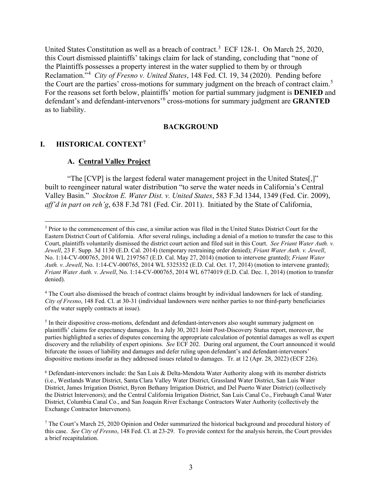United States Constitution as well as a breach of contract.<sup>[3](#page-2-0)</sup> ECF 128-1. On March 25, 2020, this Court dismissed plaintiffs' takings claim for lack of standing, concluding that "none of the Plaintiffs possesses a property interest in the water supplied to them by or through Reclamation."[4](#page-2-1) *City of Fresno v. United States*, 148 Fed. Cl. 19, 34 (2020). Pending before the Court are the parties' cross-motions for summary judgment on the breach of contract claim.<sup>[5](#page-2-2)</sup> For the reasons set forth below, plaintiffs' motion for partial summary judgment is **DENIED** and defendant's and defendant-intervenors'[6](#page-2-3) cross-motions for summary judgment are **GRANTED** as to liability.

#### **BACKGROUND**

# **I. HISTORICAL CONTEXT[7](#page-2-4)**

## **A. Central Valley Project**

"The [CVP] is the largest federal water management project in the United States[,]" built to reengineer natural water distribution "to serve the water needs in California's Central Valley Basin." *Stockton E. Water Dist. v. United States*, 583 F.3d 1344, 1349 (Fed. Cir. 2009), *aff'd in part on reh'g*, 638 F.3d 781 (Fed. Cir. 2011). Initiated by the State of California,

<span id="page-2-1"></span><sup>4</sup> The Court also dismissed the breach of contract claims brought by individual landowners for lack of standing. *City of Fresno*, 148 Fed. Cl. at 30-31 (individual landowners were neither parties to nor third-party beneficiaries of the water supply contracts at issue).

<span id="page-2-2"></span><sup>5</sup> In their dispositive cross-motions, defendant and defendant-intervenors also sought summary judgment on plaintiffs' claims for expectancy damages. In a July 30, 2021 Joint Post-Discovery Status report, moreover, the parties highlighted a series of disputes concerning the appropriate calculation of potential damages as well as expert discovery and the reliability of expert opinions. *See* ECF 202. During oral argument, the Court announced it would bifurcate the issues of liability and damages and defer ruling upon defendant's and defendant-intervenors' dispositive motions insofar as they addressed issues related to damages. Tr. at 12 (Apr. 28, 2022) (ECF 226).

<span id="page-2-3"></span><sup>6</sup> Defendant-intervenors include: the San Luis & Delta-Mendota Water Authority along with its member districts (i.e., Westlands Water District, Santa Clara Valley Water District, Grassland Water District, San Luis Water District, James Irrigation District, Byron Bethany Irrigation District, and Del Puerto Water District) (collectively the District Intervenors); and the Central California Irrigation District, San Luis Canal Co., Firebaugh Canal Water District, Columbia Canal Co., and San Joaquin River Exchange Contractors Water Authority (collectively the Exchange Contractor Intervenors).

<span id="page-2-0"></span><sup>&</sup>lt;sup>3</sup> Prior to the commencement of this case, a similar action was filed in the United States District Court for the Eastern District Court of California. After several rulings, including a denial of a motion to transfer the case to this Court, plaintiffs voluntarily dismissed the district court action and filed suit in this Court. *See Friant Water Auth. v. Jewell*, 23 F. Supp. 3d 1130 (E.D. Cal. 2014) (temporary restraining order denied); *Friant Water Auth. v. Jewell*, No. 1:14-CV-000765, 2014 WL 2197567 (E.D. Cal. May 27, 2014) (motion to intervene granted); *Friant Water Auth. v. Jewell*, No. 1:14-CV-000765, 2014 WL 5325352 (E.D. Cal. Oct. 17, 2014) (motion to intervene granted); *Friant Water Auth. v. Jewell*, No. 1:14-CV-000765, 2014 WL 6774019 (E.D. Cal. Dec. 1, 2014) (motion to transfer denied).

<span id="page-2-4"></span><sup>7</sup> The Court's March 25, 2020 Opinion and Order summarized the historical background and procedural history of this case. *See City of Fresno*, 148 Fed. Cl. at 23-29. To provide context for the analysis herein, the Court provides a brief recapitulation.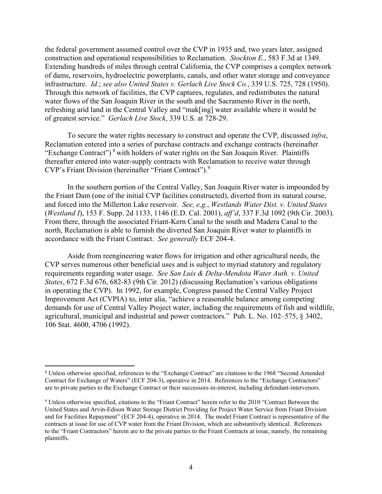the federal government assumed control over the CVP in 1935 and, two years later, assigned construction and operational responsibilities to Reclamation. *Stockton E.*, 583 F.3d at 1349. Extending hundreds of miles through central California, the CVP comprises a complex network of dams, reservoirs, hydroelectric powerplants, canals, and other water storage and conveyance infrastructure. *Id.*; *see also United States v. Gerlach Live Stock Co.*, 339 U.S. 725, 728 (1950). Through this network of facilities, the CVP captures, regulates, and redistributes the natural water flows of the San Joaquin River in the south and the Sacramento River in the north, refreshing arid land in the Central Valley and "mak[ing] water available where it would be of greatest service." *Gerlach Live Stock*, 339 U.S. at 728-29.

To secure the water rights necessary to construct and operate the CVP, discussed *infra*, Reclamation entered into a series of purchase contracts and exchange contracts (hereinafter "Exchange Contract")<sup>[8](#page-3-0)</sup> with holders of water rights on the San Joaquin River. Plaintiffs thereafter entered into water-supply contracts with Reclamation to receive water through CVP's Friant Division (hereinafter "Friant Contract"). [9](#page-3-1)

In the southern portion of the Central Valley, San Joaquin River water is impounded by the Friant Dam (one of the initial CVP facilities constructed), diverted from its natural course, and forced into the Millerton Lake reservoir. *See, e,g.*, *Westlands Water Dist. v. United States* (*Westland I*), 153 F. Supp. 2d 1133, 1146 (E.D. Cal. 2001), *aff'd*, 337 F.3d 1092 (9th Cir. 2003). From there, through the associated Friant-Kern Canal to the south and Madera Canal to the north, Reclamation is able to furnish the diverted San Joaquin River water to plaintiffs in accordance with the Friant Contract. *See generally* ECF 204-4.

Aside from reengineering water flows for irrigation and other agricultural needs, the CVP serves numerous other beneficial uses and is subject to myriad statutory and regulatory requirements regarding water usage. *See San Luis & Delta-Mendota Water Auth. v. United States*, 672 F.3d 676, 682-83 (9th Cir. 2012) (discussing Reclamation's various obligations in operating the CVP). In 1992, for example, Congress passed the Central Valley Project Improvement Act (CVPIA) to, inter alia, "achieve a reasonable balance among competing demands for use of Central Valley Project water, including the requirements of fish and wildlife, agricultural, municipal and industrial and power contractors." Pub. L. No. 102–575, § 3402, 106 Stat. 4600, 4706 (1992).

<span id="page-3-0"></span><sup>8</sup> Unless otherwise specified, references to the "Exchange Contract" are citations to the 1968 "Second Amended Contract for Exchange of Waters" (ECF 204-3), operative in 2014. References to the "Exchange Contractors" are to private parties to the Exchange Contract or their successors-in-interest, including defendant-intervenors.

<span id="page-3-1"></span><sup>9</sup> Unless otherwise specified, citations to the "Friant Contract" herein refer to the 2010 "Contract Between the United States and Arvin-Edison Water Storage District Providing for Project Water Service from Friant Division and for Facilities Repayment" (ECF 204-4), operative in 2014. The model Friant Contract is representative of the contracts at issue for use of CVP water from the Friant Division, which are substantively identical. References to the "Friant Contractors" herein are to the private parties to the Friant Contracts at issue, namely, the remaining plaintiffs.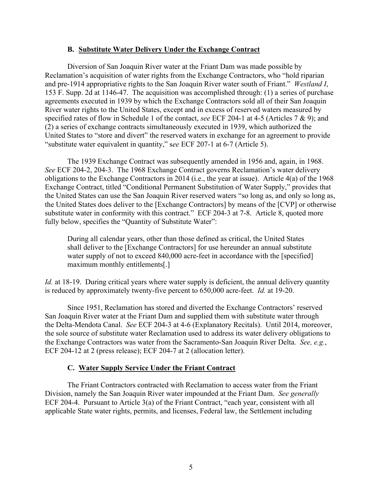## **B. Substitute Water Delivery Under the Exchange Contract**

Diversion of San Joaquin River water at the Friant Dam was made possible by Reclamation's acquisition of water rights from the Exchange Contractors, who "hold riparian and pre-1914 appropriative rights to the San Joaquin River water south of Friant." *Westland I*, 153 F. Supp. 2d at 1146-47. The acquisition was accomplished through: (1) a series of purchase agreements executed in 1939 by which the Exchange Contractors sold all of their San Joaquin River water rights to the United States, except and in excess of reserved waters measured by specified rates of flow in Schedule 1 of the contact, *see* ECF 204-1 at 4-5 (Articles 7 & 9); and (2) a series of exchange contracts simultaneously executed in 1939, which authorized the United States to "store and divert" the reserved waters in exchange for an agreement to provide "substitute water equivalent in quantity," s*ee* ECF 207-1 at 6-7 (Article 5).

The 1939 Exchange Contract was subsequently amended in 1956 and, again, in 1968. *See* ECF 204-2, 204-3. The 1968 Exchange Contract governs Reclamation's water delivery obligations to the Exchange Contractors in 2014 (i.e., the year at issue). Article 4(a) of the 1968 Exchange Contract, titled "Conditional Permanent Substitution of Water Supply," provides that the United States can use the San Joaquin River reserved waters "so long as, and only so long as, the United States does deliver to the [Exchange Contractors] by means of the [CVP] or otherwise substitute water in conformity with this contract." ECF 204-3 at 7-8. Article 8, quoted more fully below, specifies the "Quantity of Substitute Water":

During all calendar years, other than those defined as critical, the United States shall deliver to the [Exchange Contractors] for use hereunder an annual substitute water supply of not to exceed 840,000 acre-feet in accordance with the [specified] maximum monthly entitlements[.]

*Id.* at 18-19. During critical years where water supply is deficient, the annual delivery quantity is reduced by approximately twenty-five percent to 650,000 acre-feet. *Id.* at 19-20.

Since 1951, Reclamation has stored and diverted the Exchange Contractors' reserved San Joaquin River water at the Friant Dam and supplied them with substitute water through the Delta-Mendota Canal. *See* ECF 204-3 at 4-6 (Explanatory Recitals). Until 2014, moreover, the sole source of substitute water Reclamation used to address its water delivery obligations to the Exchange Contractors was water from the Sacramento-San Joaquin River Delta. *See, e.g.*, ECF 204-12 at 2 (press release); ECF 204-7 at 2 (allocation letter).

# **C. Water Supply Service Under the Friant Contract**

The Friant Contractors contracted with Reclamation to access water from the Friant Division, namely the San Joaquin River water impounded at the Friant Dam. *See generally*  ECF 204-4. Pursuant to Article 3(a) of the Friant Contract, "each year, consistent with all applicable State water rights, permits, and licenses, Federal law, the Settlement including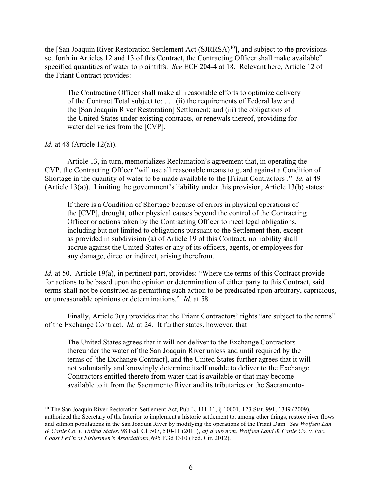the [San Joaquin River Restoration Settlement Act  $(SJRRSA)^{10}$ ], and subject to the provisions set forth in Articles 12 and 13 of this Contract, the Contracting Officer shall make available" specified quantities of water to plaintiffs. *See* ECF 204-4 at 18. Relevant here, Article 12 of the Friant Contract provides:

The Contracting Officer shall make all reasonable efforts to optimize delivery of the Contract Total subject to: . . . (ii) the requirements of Federal law and the [San Joaquin River Restoration] Settlement; and (iii) the obligations of the United States under existing contracts, or renewals thereof, providing for water deliveries from the [CVP].

*Id.* at 48 (Article 12(a)).

Article 13, in turn, memorializes Reclamation's agreement that, in operating the CVP, the Contracting Officer "will use all reasonable means to guard against a Condition of Shortage in the quantity of water to be made available to the [Friant Contractors]." *Id.* at 49 (Article 13(a)). Limiting the government's liability under this provision, Article 13(b) states:

If there is a Condition of Shortage because of errors in physical operations of the [CVP], drought, other physical causes beyond the control of the Contracting Officer or actions taken by the Contracting Officer to meet legal obligations, including but not limited to obligations pursuant to the Settlement then, except as provided in subdivision (a) of Article 19 of this Contract, no liability shall accrue against the United States or any of its officers, agents, or employees for any damage, direct or indirect, arising therefrom.

*Id.* at 50. Article 19(a), in pertinent part, provides: "Where the terms of this Contract provide for actions to be based upon the opinion or determination of either party to this Contract, said terms shall not be construed as permitting such action to be predicated upon arbitrary, capricious, or unreasonable opinions or determinations." *Id.* at 58.

Finally, Article 3(n) provides that the Friant Contractors' rights "are subject to the terms" of the Exchange Contract. *Id.* at 24. It further states, however, that

The United States agrees that it will not deliver to the Exchange Contractors thereunder the water of the San Joaquin River unless and until required by the terms of [the Exchange Contract], and the United States further agrees that it will not voluntarily and knowingly determine itself unable to deliver to the Exchange Contractors entitled thereto from water that is available or that may become available to it from the Sacramento River and its tributaries or the Sacramento-

<span id="page-5-0"></span><sup>&</sup>lt;sup>10</sup> The San Joaquin River Restoration Settlement Act, Pub L. 111-11,  $\S$  10001, 123 Stat. 991, 1349 (2009), authorized the Secretary of the Interior to implement a historic settlement to, among other things, restore river flows and salmon populations in the San Joaquin River by modifying the operations of the Friant Dam. *See Wolfsen Lan & Cattle Co. v. United States*, 98 Fed. Cl. 507, 510-11 (2011), *aff'd sub nom. Wolfsen Land & Cattle Co. v. Pac. Coast Fed'n of Fishermen's Associations*, 695 F.3d 1310 (Fed. Cir. 2012).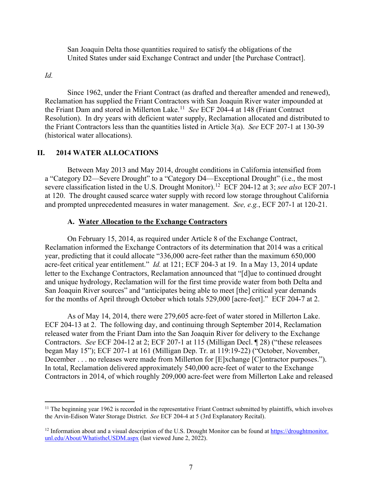San Joaquin Delta those quantities required to satisfy the obligations of the United States under said Exchange Contract and under [the Purchase Contract].

*Id.*

Since 1962, under the Friant Contract (as drafted and thereafter amended and renewed), Reclamation has supplied the Friant Contractors with San Joaquin River water impounded at the Friant Dam and stored in Millerton Lake.[11](#page-6-0) *See* ECF 204-4 at 148 (Friant Contract Resolution). In dry years with deficient water supply, Reclamation allocated and distributed to the Friant Contractors less than the quantities listed in Article 3(a). *See* ECF 207-1 at 130-39 (historical water allocations).

## **II. 2014 WATER ALLOCATIONS**

Between May 2013 and May 2014, drought conditions in California intensified from a "Category D2—Severe Drought" to a "Category D4—Exceptional Drought" (i.e., the most severe classification listed in the U.S. Drought Monitor). [12](#page-6-1) ECF 204-12 at 3; *see also* ECF 207-1 at 120. The drought caused scarce water supply with record low storage throughout California and prompted unprecedented measures in water management. *See, e.g.*, ECF 207-1 at 120-21.

## **A. Water Allocation to the Exchange Contractors**

On February 15, 2014, as required under Article 8 of the Exchange Contract, Reclamation informed the Exchange Contractors of its determination that 2014 was a critical year, predicting that it could allocate "336,000 acre-feet rather than the maximum 650,000 acre-feet critical year entitlement." *Id.* at 121; ECF 204-3 at 19. In a May 13, 2014 update letter to the Exchange Contractors, Reclamation announced that "[d]ue to continued drought and unique hydrology, Reclamation will for the first time provide water from both Delta and San Joaquin River sources" and "anticipates being able to meet [the] critical year demands for the months of April through October which totals 529,000 [acre-feet]." ECF 204-7 at 2.

As of May 14, 2014, there were 279,605 acre-feet of water stored in Millerton Lake. ECF 204-13 at 2. The following day, and continuing through September 2014, Reclamation released water from the Friant Dam into the San Joaquin River for delivery to the Exchange Contractors. *See* ECF 204-12 at 2; ECF 207-1 at 115 (Milligan Decl. ¶ 28) ("these releasees began May 15"); ECF 207-1 at 161 (Milligan Dep. Tr. at 119:19-22) ("October, November, December . . . no releases were made from Millerton for [E]xchange [C]ontractor purposes."). In total, Reclamation delivered approximately 540,000 acre-feet of water to the Exchange Contractors in 2014, of which roughly 209,000 acre-feet were from Millerton Lake and released

<span id="page-6-0"></span> $11$  The beginning year 1962 is recorded in the representative Friant Contract submitted by plaintiffs, which involves the Arvin-Edison Water Storage District. *See* ECF 204-4 at 5 (3rd Explanatory Recital).

<span id="page-6-1"></span> $12$  Information about and a visual description of the U.S. Drought Monitor can be found at https://droughtmonitor. unl.edu/About/WhatistheUSDM.aspx (last viewed June 2, 2022).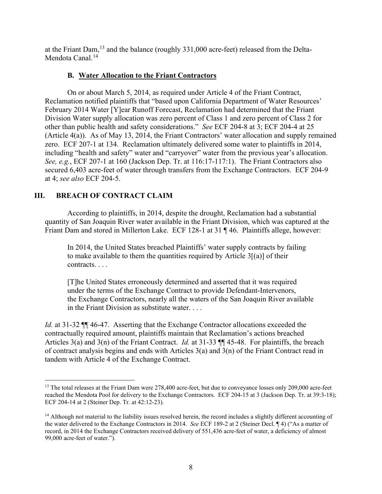at the Friant Dam,<sup>[13](#page-7-0)</sup> and the balance (roughly 331,000 acre-feet) released from the Delta-Mendota Canal.<sup>[14](#page-7-1)</sup>

# **B. Water Allocation to the Friant Contractors**

On or about March 5, 2014, as required under Article 4 of the Friant Contract, Reclamation notified plaintiffs that "based upon California Department of Water Resources' February 2014 Water [Y]ear Runoff Forecast, Reclamation had determined that the Friant Division Water supply allocation was zero percent of Class 1 and zero percent of Class 2 for other than public health and safety considerations." *See* ECF 204-8 at 3; ECF 204-4 at 25 (Article 4(a)). As of May 13, 2014, the Friant Contractors' water allocation and supply remained zero. ECF 207-1 at 134. Reclamation ultimately delivered some water to plaintiffs in 2014, including "health and safety" water and "carryover" water from the previous year's allocation. *See, e.g.*, ECF 207-1 at 160 (Jackson Dep. Tr. at 116:17-117:1). The Friant Contractors also secured 6,403 acre-feet of water through transfers from the Exchange Contractors. ECF 204-9 at 4; *see also* ECF 204-5.

# **III. BREACH OF CONTRACT CLAIM**

According to plaintiffs, in 2014, despite the drought, Reclamation had a substantial quantity of San Joaquin River water available in the Friant Division, which was captured at the Friant Dam and stored in Millerton Lake. ECF 128-1 at 31 ¶ 46. Plaintiffs allege, however:

In 2014, the United States breached Plaintiffs' water supply contracts by failing to make available to them the quantities required by Article  $3[(a)]$  of their contracts. . . .

[T]he United States erroneously determined and asserted that it was required under the terms of the Exchange Contract to provide Defendant-Intervenors, the Exchange Contractors, nearly all the waters of the San Joaquin River available in the Friant Division as substitute water. . . .

*Id.* at 31-32 ¶¶ 46-47. Asserting that the Exchange Contractor allocations exceeded the contractually required amount, plaintiffs maintain that Reclamation's actions breached Articles 3(a) and 3(n) of the Friant Contract. *Id.* at 31-33 ¶¶ 45-48. For plaintiffs, the breach of contract analysis begins and ends with Articles 3(a) and 3(n) of the Friant Contract read in tandem with Article 4 of the Exchange Contract.

<span id="page-7-0"></span><sup>&</sup>lt;sup>13</sup> The total releases at the Friant Dam were 278,400 acre-feet, but due to conveyance losses only 209,000 acre-feet reached the Mendota Pool for delivery to the Exchange Contractors. ECF 204-15 at 3 (Jackson Dep. Tr. at 39:3-18); ECF 204-14 at 2 (Steiner Dep. Tr. at 42:12-23).

<span id="page-7-1"></span> $14$  Although not material to the liability issues resolved herein, the record includes a slightly different accounting of the water delivered to the Exchange Contractors in 2014. *See* ECF 189-2 at 2 (Steiner Decl. ¶ 4) ("As a matter of record, in 2014 the Exchange Contractors received delivery of 551,436 acre-feet of water, a deficiency of almost 99,000 acre-feet of water.").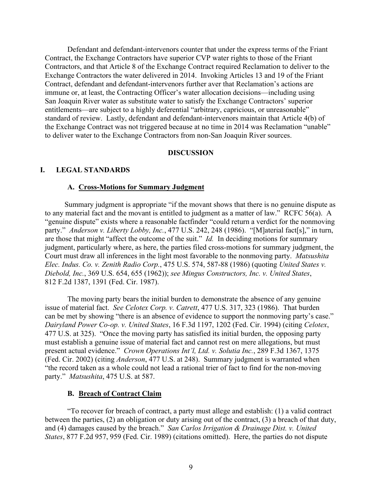Defendant and defendant-intervenors counter that under the express terms of the Friant Contract, the Exchange Contractors have superior CVP water rights to those of the Friant Contractors, and that Article 8 of the Exchange Contract required Reclamation to deliver to the Exchange Contractors the water delivered in 2014. Invoking Articles 13 and 19 of the Friant Contract, defendant and defendant-intervenors further aver that Reclamation's actions are immune or, at least, the Contracting Officer's water allocation decisions—including using San Joaquin River water as substitute water to satisfy the Exchange Contractors' superior entitlements—are subject to a highly deferential "arbitrary, capricious, or unreasonable" standard of review. Lastly, defendant and defendant-intervenors maintain that Article 4(b) of the Exchange Contract was not triggered because at no time in 2014 was Reclamation "unable" to deliver water to the Exchange Contractors from non-San Joaquin River sources.

## **DISCUSSION**

## **I. LEGAL STANDARDS**

#### **A. Cross-Motions for Summary Judgment**

Summary judgment is appropriate "if the movant shows that there is no genuine dispute as to any material fact and the movant is entitled to judgment as a matter of law." RCFC 56(a). A "genuine dispute" exists where a reasonable factfinder "could return a verdict for the nonmoving party." *Anderson v. Liberty Lobby, Inc.*, 477 U.S. 242, 248 (1986). "[M]aterial fact[s]," in turn, are those that might "affect the outcome of the suit." *Id.* In deciding motions for summary judgment, particularly where, as here, the parties filed cross-motions for summary judgment, the Court must draw all inferences in the light most favorable to the nonmoving party. *Matsushita Elec. Indus. Co. v. Zenith Radio Corp.*, 475 U.S. 574, 587-88 (1986) (quoting *United States v. Diebold, Inc.*, 369 U.S. 654, 655 (1962)); *see Mingus Constructors, Inc. v. United States*, 812 F.2d 1387, 1391 (Fed. Cir. 1987).

The moving party bears the initial burden to demonstrate the absence of any genuine issue of material fact. *See Celotex Corp. v. Catrett*, 477 U.S. 317, 323 (1986). That burden can be met by showing "there is an absence of evidence to support the nonmoving party's case." *Dairyland Power Co-op. v. United States*, 16 F.3d 1197, 1202 (Fed. Cir. 1994) (citing *Celotex*, 477 U.S. at 325). "Once the moving party has satisfied its initial burden, the opposing party must establish a genuine issue of material fact and cannot rest on mere allegations, but must present actual evidence." *Crown Operations Int'l, Ltd. v. Solutia Inc.*, 289 F.3d 1367, 1375 (Fed. Cir. 2002) (citing *Anderson*, 477 U.S. at 248). Summary judgment is warranted when "the record taken as a whole could not lead a rational trier of fact to find for the non-moving party." *Matsushita*, 475 U.S. at 587.

## **B. Breach of Contract Claim**

"To recover for breach of contract, a party must allege and establish: (1) a valid contract between the parties, (2) an obligation or duty arising out of the contract, (3) a breach of that duty, and (4) damages caused by the breach." *San Carlos Irrigation & Drainage Dist. v. United States*, 877 F.2d 957, 959 (Fed. Cir. 1989) (citations omitted). Here, the parties do not dispute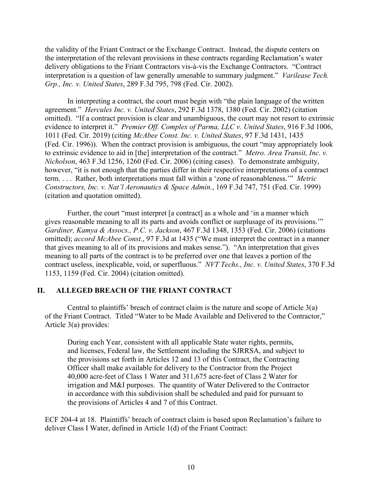the validity of the Friant Contract or the Exchange Contract. Instead, the dispute centers on the interpretation of the relevant provisions in these contracts regarding Reclamation's water delivery obligations to the Friant Contractors vis-à-vis the Exchange Contractors. "Contract interpretation is a question of law generally amenable to summary judgment." *Varilease Tech. Grp., Inc. v. United States*, 289 F.3d 795, 798 (Fed. Cir. 2002).

In interpreting a contract, the court must begin with "the plain language of the written agreement." *Hercules Inc. v. United States*, 292 F.3d 1378, 1380 (Fed. Cir. 2002) (citation omitted). "If a contract provision is clear and unambiguous, the court may not resort to extrinsic evidence to interpret it." *Premier Off. Complex of Parma, LLC v. United States*, 916 F.3d 1006, 1011 (Fed. Cir. 2019) (citing *McAbee Const. Inc. v. United States*, 97 F.3d 1431, 1435 (Fed. Cir. 1996)). When the contract provision is ambiguous, the court "may appropriately look to extrinsic evidence to aid in [the] interpretation of the contract." *Metro. Area Transit, Inc. v. Nicholson*, 463 F.3d 1256, 1260 (Fed. Cir. 2006) (citing cases). To demonstrate ambiguity, however, "it is not enough that the parties differ in their respective interpretations of a contract term. . . . Rather, both interpretations must fall within a 'zone of reasonableness.'" *Metric Constructors, Inc. v. Nat'l Aeronautics & Space Admin.*, 169 F.3d 747, 751 (Fed. Cir. 1999) (citation and quotation omitted).

Further, the court "must interpret [a contract] as a whole and 'in a manner which gives reasonable meaning to all its parts and avoids conflict or surplusage of its provisions.'" *Gardiner, Kamya & Assocs., P.C. v. Jackson*, 467 F.3d 1348, 1353 (Fed. Cir. 2006) (citations omitted); *accord McAbee Const.*, 97 F.3d at 1435 ("We must interpret the contract in a manner that gives meaning to all of its provisions and makes sense."). "An interpretation that gives meaning to all parts of the contract is to be preferred over one that leaves a portion of the contract useless, inexplicable, void, or superfluous." *NVT Techs., Inc. v. United States*, 370 F.3d 1153, 1159 (Fed. Cir. 2004) (citation omitted).

# **II. ALLEGED BREACH OF THE FRIANT CONTRACT**

Central to plaintiffs' breach of contract claim is the nature and scope of Article 3(a) of the Friant Contract. Titled "Water to be Made Available and Delivered to the Contractor," Article 3(a) provides:

During each Year, consistent with all applicable State water rights, permits, and licenses, Federal law, the Settlement including the SJRRSA, and subject to the provisions set forth in Articles 12 and 13 of this Contract, the Contracting Officer shall make available for delivery to the Contractor from the Project 40,000 acre-feet of Class 1 Water and 311,675 acre-feet of Class 2 Water for irrigation and M&I purposes. The quantity of Water Delivered to the Contractor in accordance with this subdivision shall be scheduled and paid for pursuant to the provisions of Articles 4 and 7 of this Contract.

ECF 204-4 at 18. Plaintiffs' breach of contract claim is based upon Reclamation's failure to deliver Class I Water, defined in Article 1(d) of the Friant Contract: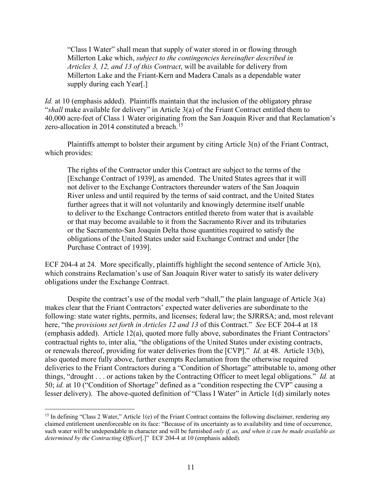"Class I Water" shall mean that supply of water stored in or flowing through Millerton Lake which, *subject to the contingencies hereinafter described in Articles 3, 12, and 13 of this Contract*, will be available for delivery from Millerton Lake and the Friant-Kern and Madera Canals as a dependable water supply during each Year[.]

*Id.* at 10 (emphasis added). Plaintiffs maintain that the inclusion of the obligatory phrase "*shall* make available for delivery" in Article 3(a) of the Friant Contract entitled them to 40,000 acre-feet of Class 1 Water originating from the San Joaquin River and that Reclamation's zero-allocation in 2014 constituted a breach.<sup>[15](#page-10-0)</sup>

Plaintiffs attempt to bolster their argument by citing Article 3(n) of the Friant Contract, which provides:

The rights of the Contractor under this Contract are subject to the terms of the [Exchange Contract of 1939], as amended. The United States agrees that it will not deliver to the Exchange Contractors thereunder waters of the San Joaquin River unless and until required by the terms of said contract, and the United States further agrees that it will not voluntarily and knowingly determine itself unable to deliver to the Exchange Contractors entitled thereto from water that is available or that may become available to it from the Sacramento River and its tributaries or the Sacramento-San Joaquin Delta those quantities required to satisfy the obligations of the United States under said Exchange Contract and under [the Purchase Contract of 1939].

ECF 204-4 at 24. More specifically, plaintiffs highlight the second sentence of Article 3(n), which constrains Reclamation's use of San Joaquin River water to satisfy its water delivery obligations under the Exchange Contract.

Despite the contract's use of the modal verb "shall," the plain language of Article 3(a) makes clear that the Friant Contractors' expected water deliveries are subordinate to the following: state water rights, permits, and licenses; federal law; the SJRRSA; and, most relevant here, "the *provisions set forth in Articles 12 and 13* of this Contract." *See* ECF 204-4 at 18 (emphasis added). Article 12(a), quoted more fully above, subordinates the Friant Contractors' contractual rights to, inter alia, "the obligations of the United States under existing contracts, or renewals thereof, providing for water deliveries from the [CVP]." *Id.* at 48. Article 13(b), also quoted more fully above, further exempts Reclamation from the otherwise required deliveries to the Friant Contractors during a "Condition of Shortage" attributable to, among other things, "drought . . . or actions taken by the Contracting Officer to meet legal obligations." *Id.* at 50; *id.* at 10 ("Condition of Shortage" defined as a "condition respecting the CVP" causing a lesser delivery). The above-quoted definition of "Class I Water" in Article 1(d) similarly notes

<span id="page-10-0"></span><sup>&</sup>lt;sup>15</sup> In defining "Class 2 Water," Article 1(e) of the Friant Contract contains the following disclaimer, rendering any claimed entitlement unenforceable on its face: "Because of its uncertainty as to availability and time of occurrence, such water will be undependable in character and will be furnished *only if, as, and when it can be made available as determined by the Contracting Officer*[.]" ECF 204-4 at 10 (emphasis added).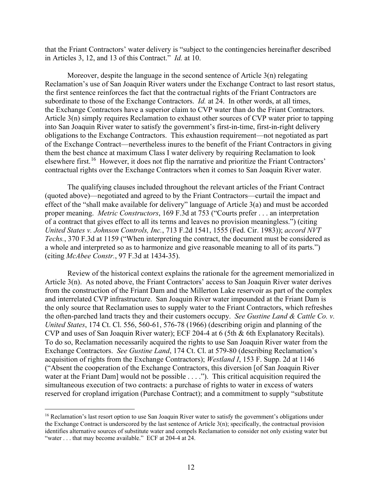that the Friant Contractors' water delivery is "subject to the contingencies hereinafter described in Articles 3, 12, and 13 of this Contract." *Id.* at 10.

Moreover, despite the language in the second sentence of Article 3(n) relegating Reclamation's use of San Joaquin River waters under the Exchange Contract to last resort status, the first sentence reinforces the fact that the contractual rights of the Friant Contractors are subordinate to those of the Exchange Contractors. *Id.* at 24. In other words, at all times, the Exchange Contractors have a superior claim to CVP water than do the Friant Contractors. Article 3(n) simply requires Reclamation to exhaust other sources of CVP water prior to tapping into San Joaquin River water to satisfy the government's first-in-time, first-in-right delivery obligations to the Exchange Contractors. This exhaustion requirement—not negotiated as part of the Exchange Contract—nevertheless inures to the benefit of the Friant Contractors in giving them the best chance at maximum Class I water delivery by requiring Reclamation to look elsewhere first.<sup>16</sup> However, it does not flip the narrative and prioritize the Friant Contractors' contractual rights over the Exchange Contractors when it comes to San Joaquin River water.

The qualifying clauses included throughout the relevant articles of the Friant Contract (quoted above)—negotiated and agreed to by the Friant Contractors—curtail the impact and effect of the "shall make available for delivery" language of Article 3(a) and must be accorded proper meaning. *Metric Constructors*, 169 F.3d at 753 ("Courts prefer . . . an interpretation of a contract that gives effect to all its terms and leaves no provision meaningless.") (citing *United States v. Johnson Controls, Inc.*, 713 F.2d 1541, 1555 (Fed. Cir. 1983)); *accord NVT Techs.*, 370 F.3d at 1159 ("When interpreting the contract, the document must be considered as a whole and interpreted so as to harmonize and give reasonable meaning to all of its parts.") (citing *McAbee Constr.*, 97 F.3d at 1434-35).

Review of the historical context explains the rationale for the agreement memorialized in Article 3(n). As noted above, the Friant Contractors' access to San Joaquin River water derives from the construction of the Friant Dam and the Millerton Lake reservoir as part of the complex and interrelated CVP infrastructure. San Joaquin River water impounded at the Friant Dam is the only source that Reclamation uses to supply water to the Friant Contractors, which refreshes the often-parched land tracts they and their customers occupy. *See Gustine Land & Cattle Co. v. United States*, 174 Ct. Cl. 556, 560-61, 576-78 (1966) (describing origin and planning of the CVP and uses of San Joaquin River water); ECF 204-4 at 6 (5th & 6th Explanatory Recitals). To do so, Reclamation necessarily acquired the rights to use San Joaquin River water from the Exchange Contractors. *See Gustine Land*, 174 Ct. Cl. at 579-80 (describing Reclamation's acquisition of rights from the Exchange Contractors); *Westland I*, 153 F. Supp. 2d at 1146 ("Absent the cooperation of the Exchange Contractors, this diversion [of San Joaquin River water at the Friant Dam] would not be possible . . . ."). This critical acquisition required the simultaneous execution of two contracts: a purchase of rights to water in excess of waters reserved for cropland irrigation (Purchase Contract); and a commitment to supply "substitute

<span id="page-11-0"></span><sup>&</sup>lt;sup>16</sup> Reclamation's last resort option to use San Joaquin River water to satisfy the government's obligations under the Exchange Contract is underscored by the last sentence of Article  $3(n)$ ; specifically, the contractual provision identifies alternative sources of substitute water and compels Reclamation to consider not only existing water but "water . . . that may become available." ECF at 204-4 at 24.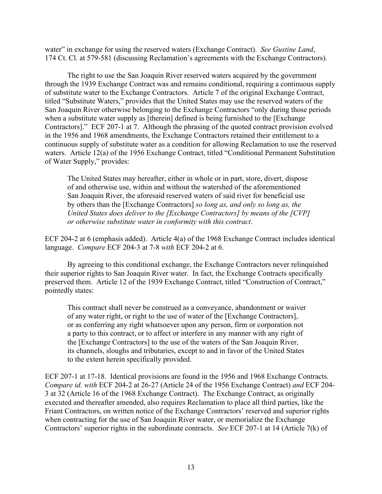water" in exchange for using the reserved waters (Exchange Contract). *See Gustine Land*, 174 Ct. Cl. at 579-581 (discussing Reclamation's agreements with the Exchange Contractors).

The right to use the San Joaquin River reserved waters acquired by the government through the 1939 Exchange Contract was and remains conditional, requiring a continuous supply of substitute water to the Exchange Contractors. Article 7 of the original Exchange Contract, titled "Substitute Waters," provides that the United States may use the reserved waters of the San Joaquin River otherwise belonging to the Exchange Contractors "only during those periods when a substitute water supply as [therein] defined is being furnished to the [Exchange Contractors]." ECF 207-1 at 7. Although the phrasing of the quoted contract provision evolved in the 1956 and 1968 amendments, the Exchange Contractors retained their entitlement to a continuous supply of substitute water as a condition for allowing Reclamation to use the reserved waters. Article 12(a) of the 1956 Exchange Contract, titled "Conditional Permanent Substitution of Water Supply," provides:

The United States may hereafter, either in whole or in part, store, divert, dispose of and otherwise use, within and without the watershed of the aforementioned San Joaquin River, the aforesaid reserved waters of said river for beneficial use by others than the [Exchange Contractors] *so long as, and only so long as, the United States does deliver to the [Exchange Contractors] by means of the [CVP] or otherwise substitute water in conformity with this contract*.

ECF 204-2 at 6 (emphasis added). Article 4(a) of the 1968 Exchange Contract includes identical language. *Compare* ECF 204-3 at 7-8 *with* ECF 204-2 at 6.

By agreeing to this conditional exchange, the Exchange Contractors never relinquished their superior rights to San Joaquin River water. In fact, the Exchange Contracts specifically preserved them. Article 12 of the 1939 Exchange Contract, titled "Construction of Contract," pointedly states:

This contract shall never be construed as a conveyance, abandonment or waiver of any water right, or right to the use of water of the [Exchange Contractors], or as conferring any right whatsoever upon any person, firm or corporation not a party to this contract, or to affect or interfere in any manner with any right of the [Exchange Contractors] to the use of the waters of the San Joaquin River, its channels, sloughs and tributaries, except to and in favor of the United States to the extent herein specifically provided.

ECF 207-1 at 17-18. Identical provisions are found in the 1956 and 1968 Exchange Contracts. *Compare id. with* ECF 204-2 at 26-27 (Article 24 of the 1956 Exchange Contract) *and* ECF 204- 3 at 32 (Article 16 of the 1968 Exchange Contract). The Exchange Contract, as originally executed and thereafter amended, also requires Reclamation to place all third parties, like the Friant Contractors, on written notice of the Exchange Contractors' reserved and superior rights when contracting for the use of San Joaquin River water, or memorialize the Exchange Contractors' superior rights in the subordinate contracts. *See* ECF 207-1 at 14 (Article 7(k) of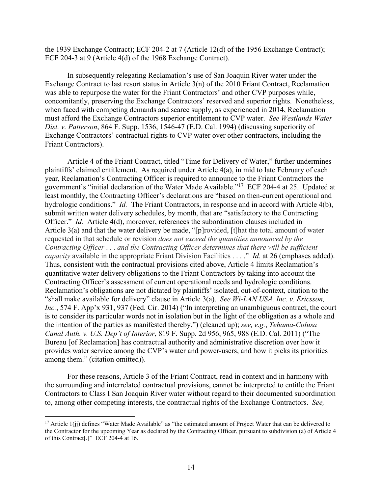the 1939 Exchange Contract); ECF 204-2 at 7 (Article 12(d) of the 1956 Exchange Contract); ECF 204-3 at 9 (Article 4(d) of the 1968 Exchange Contract).

In subsequently relegating Reclamation's use of San Joaquin River water under the Exchange Contract to last resort status in Article 3(n) of the 2010 Friant Contract, Reclamation was able to repurpose the water for the Friant Contractors' and other CVP purposes while, concomitantly, preserving the Exchange Contractors' reserved and superior rights. Nonetheless, when faced with competing demands and scarce supply, as experienced in 2014, Reclamation must afford the Exchange Contractors superior entitlement to CVP water. *See Westlands Water Dist. v. Patterson*, 864 F. Supp. 1536, 1546-47 (E.D. Cal. 1994) (discussing superiority of Exchange Contractors' contractual rights to CVP water over other contractors, including the Friant Contractors).

Article 4 of the Friant Contract, titled "Time for Delivery of Water," further undermines plaintiffs' claimed entitlement. As required under Article 4(a), in mid to late February of each year, Reclamation's Contracting Officer is required to announce to the Friant Contractors the government's "initial declaration of the Water Made Available."[17](#page-13-0) ECF 204-4 at 25. Updated at least monthly, the Contracting Officer's declarations are "based on then-current operational and hydrologic conditions." *Id.* The Friant Contractors, in response and in accord with Article 4(b), submit written water delivery schedules, by month, that are "satisfactory to the Contracting Officer." *Id.* Article 4(d), moreover, references the subordination clauses included in Article 3(a) and that the water delivery be made, "[p]rovided, [t]hat the total amount of water requested in that schedule or revision *does not exceed the quantities announced by the Contracting Officer* . . . *and the Contracting Officer determines that there will be sufficient capacity* available in the appropriate Friant Division Facilities . . . ." *Id.* at 26 (emphases added). Thus, consistent with the contractual provisions cited above, Article 4 limits Reclamation's quantitative water delivery obligations to the Friant Contractors by taking into account the Contracting Officer's assessment of current operational needs and hydrologic conditions. Reclamation's obligations are not dictated by plaintiffs' isolated, out-of-context, citation to the "shall make available for delivery" clause in Article 3(a). *See Wi-LAN USA, Inc. v. Ericsson, Inc.*, 574 F. App'x 931, 937 (Fed. Cir. 2014) ("In interpreting an unambiguous contract, the court is to consider its particular words not in isolation but in the light of the obligation as a whole and the intention of the parties as manifested thereby.") (cleaned up); *see, e.g.*, *Tehama-Colusa Canal Auth. v. U.S. Dep't of Interior*, 819 F. Supp. 2d 956, 965, 988 (E.D. Cal. 2011) ("The Bureau [of Reclamation] has contractual authority and administrative discretion over how it provides water service among the CVP's water and power-users, and how it picks its priorities among them." (citation omitted)).

For these reasons, Article 3 of the Friant Contract, read in context and in harmony with the surrounding and interrelated contractual provisions, cannot be interpreted to entitle the Friant Contractors to Class I San Joaquin River water without regard to their documented subordination to, among other competing interests, the contractual rights of the Exchange Contractors. *See,* 

<span id="page-13-0"></span><sup>&</sup>lt;sup>17</sup> Article 1(ji) defines "Water Made Available" as "the estimated amount of Project Water that can be delivered to the Contractor for the upcoming Year as declared by the Contracting Officer, pursuant to subdivision (a) of Article 4 of this Contract[.]" ECF 204-4 at 16.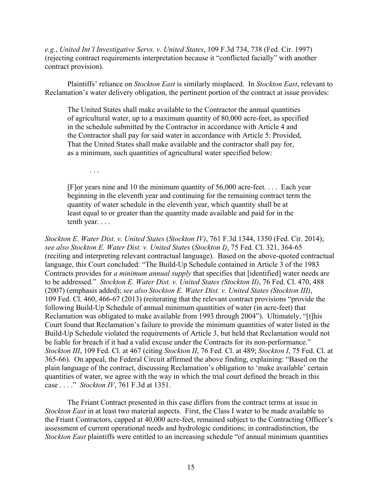*e.g.*, *United Int'l Investigative Servs. v. United States*, 109 F.3d 734, 738 (Fed. Cir. 1997) (rejecting contract requirements interpretation because it "conflicted facially" with another contract provision).

Plaintiffs' reliance on *Stockton East* is similarly misplaced. In *Stockton East*, relevant to Reclamation's water delivery obligation, the pertinent portion of the contract at issue provides:

The United States shall make available to the Contractor the annual quantities of agricultural water, up to a maximum quantity of 80,000 acre-feet, as specified in the schedule submitted by the Contractor in accordance with Article 4 and the Contractor shall pay for said water in accordance with Article 5: Provided, That the United States shall make available and the contractor shall pay for, as a minimum, such quantities of agricultural water specified below:

. . .

[F]or years nine and 10 the minimum quantity of 56,000 acre-feet. . . . Each year beginning in the eleventh year and continuing for the remaining contract term the quantity of water schedule in the eleventh year, which quantity shall be at least equal to or greater than the quantity made available and paid for in the tenth year. . . .

*Stockton E. Water Dist. v. United States* (*Stockton IV)*, 761 F.3d 1344, 1350 (Fed. Cir. 2014); *see also Stockton E. Water Dist. v. United States* (*Stockton I)*, 75 Fed. Cl. 321, 364-65 (reciting and interpreting relevant contractual language). Based on the above-quoted contractual language, this Court concluded: "The Build-Up Schedule contained in Article 3 of the 1983 Contracts provides for *a minimum annual supply* that specifies that [identified] water needs are to be addressed." *Stockton E. Water Dist. v. United States (Stockton II)*, 76 Fed. Cl. 470, 488 (2007) (emphasis added); *see also Stockton E. Water Dist. v. United States (Stockton III)*, 109 Fed. Cl. 460, 466-67 (2013) (reiterating that the relevant contract provisions "provide the following Build-Up Schedule of annual minimum quantities of water (in acre-feet) that Reclamation was obligated to make available from 1993 through 2004"). Ultimately, "[t]his Court found that Reclamation's failure to provide the minimum quantities of water listed in the Build-Up Schedule violated the requirements of Article 3, but held that Reclamation would not be liable for breach if it had a valid excuse under the Contracts for its non-performance." *Stockton III*, 109 Fed. Cl. at 467 (citing *Stockton II*, 76 Fed. Cl. at 489; *Stockton I*, 75 Fed. Cl. at 365-66). On appeal, the Federal Circuit affirmed the above finding, explaining: "Based on the plain language of the contract, discussing Reclamation's obligation to 'make available' certain quantities of water, we agree with the way in which the trial court defined the breach in this case . . . ." *Stockton IV*, 761 F.3d at 1351.

The Friant Contract presented in this case differs from the contract terms at issue in *Stockton East* in at least two material aspects. First, the Class I water to be made available to the Friant Contractors, capped at 40,000 acre-feet, remained subject to the Contracting Officer's assessment of current operational needs and hydrologic conditions; in contradistinction, the *Stockton East* plaintiffs were entitled to an increasing schedule "of annual minimum quantities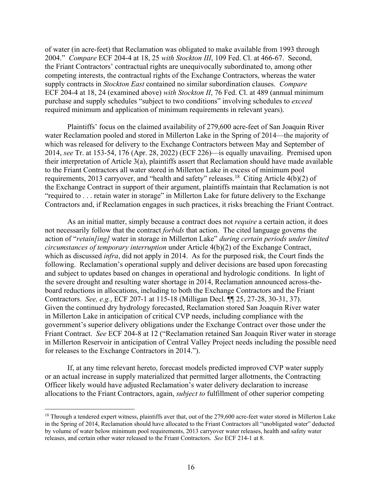of water (in acre-feet) that Reclamation was obligated to make available from 1993 through 2004." *Compare* ECF 204-4 at 18, 25 *with Stockton III*, 109 Fed. Cl. at 466-67. Second, the Friant Contractors' contractual rights are unequivocally subordinated to, among other competing interests, the contractual rights of the Exchange Contractors, whereas the water supply contracts in *Stockton East* contained no similar subordination clauses. *Compare* ECF 204-4 at 18, 24 (examined above) *with Stockton II*, 76 Fed. Cl. at 489 (annual minimum purchase and supply schedules "subject to two conditions" involving schedules to *exceed* required minimum and application of minimum requirements in relevant years).

Plaintiffs' focus on the claimed availability of 279,600 acre-feet of San Joaquin River water Reclamation pooled and stored in Millerton Lake in the Spring of 2014—the majority of which was released for delivery to the Exchange Contractors between May and September of 2014, *see* Tr. at 153-54, 176 (Apr. 28, 2022) (ECF 226)—is equally unavailing. Premised upon their interpretation of Article 3(a), plaintiffs assert that Reclamation should have made available to the Friant Contractors all water stored in Millerton Lake in excess of minimum pool requirements, 2013 carryover, and "health and safety" releases.<sup>[18](#page-15-0)</sup> Citing Article  $\vec{A(b)}(2)$  of the Exchange Contract in support of their argument, plaintiffs maintain that Reclamation is not "required to . . . retain water in storage" in Millerton Lake for future delivery to the Exchange Contractors and, if Reclamation engages in such practices, it risks breaching the Friant Contract.

As an initial matter, simply because a contract does not *require* a certain action, it does not necessarily follow that the contract *forbids* that action. The cited language governs the action of "*retain[ing]* water in storage in Millerton Lake" *during certain periods under limited circumstances of temporary interruption* under Article 4(b)(2) of the Exchange Contract, which as discussed *infra*, did not apply in 2014. As for the purposed risk, the Court finds the following. Reclamation's operational supply and deliver decisions are based upon forecasting and subject to updates based on changes in operational and hydrologic conditions. In light of the severe drought and resulting water shortage in 2014, Reclamation announced across-theboard reductions in allocations, including to both the Exchange Contractors and the Friant Contractors. *See, e.g.*, ECF 207-1 at 115-18 (Milligan Decl. ¶¶ 25, 27-28, 30-31, 37). Given the continued dry hydrology forecasted, Reclamation stored San Joaquin River water in Millerton Lake in anticipation of critical CVP needs, including compliance with the government's superior delivery obligations under the Exchange Contract over those under the Friant Contract. *See* ECF 204-8 at 12 ("Reclamation retained San Joaquin River water in storage in Millerton Reservoir in anticipation of Central Valley Project needs including the possible need for releases to the Exchange Contractors in 2014.").

If, at any time relevant hereto, forecast models predicted improved CVP water supply or an actual increase in supply materialized that permitted larger allotments, the Contracting Officer likely would have adjusted Reclamation's water delivery declaration to increase allocations to the Friant Contractors, again, *subject to* fulfillment of other superior competing

<span id="page-15-0"></span><sup>&</sup>lt;sup>18</sup> Through a tendered expert witness, plaintiffs aver that, out of the 279,600 acre-feet water stored in Millerton Lake in the Spring of 2014, Reclamation should have allocated to the Friant Contractors all "unobligated water" deducted by volume of water below minimum pool requirements, 2013 carryover water releases, health and safety water releases, and certain other water released to the Friant Contractors. *See* ECF 214-1 at 8.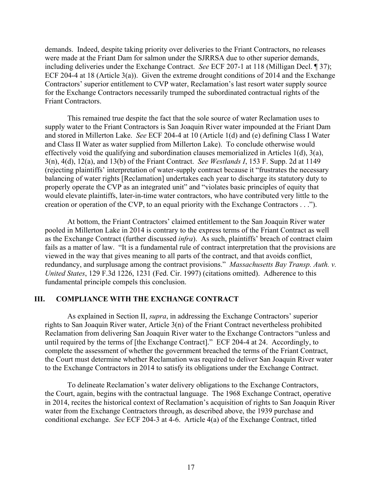demands. Indeed, despite taking priority over deliveries to the Friant Contractors, no releases were made at the Friant Dam for salmon under the SJRRSA due to other superior demands, including deliveries under the Exchange Contract. *See* ECF 207-1 at 118 (Milligan Decl. ¶ 37); ECF 204-4 at 18 (Article 3(a)). Given the extreme drought conditions of 2014 and the Exchange Contractors' superior entitlement to CVP water, Reclamation's last resort water supply source for the Exchange Contractors necessarily trumped the subordinated contractual rights of the Friant Contractors.

This remained true despite the fact that the sole source of water Reclamation uses to supply water to the Friant Contractors is San Joaquin River water impounded at the Friant Dam and stored in Millerton Lake. *See* ECF 204-4 at 10 (Article 1(d) and (e) defining Class I Water and Class II Water as water supplied from Millerton Lake). To conclude otherwise would effectively void the qualifying and subordination clauses memorialized in Articles 1(d), 3(a), 3(n), 4(d), 12(a), and 13(b) of the Friant Contract. *See Westlands I*, 153 F. Supp. 2d at 1149 (rejecting plaintiffs' interpretation of water-supply contract because it "frustrates the necessary balancing of water rights [Reclamation] undertakes each year to discharge its statutory duty to properly operate the CVP as an integrated unit" and "violates basic principles of equity that would elevate plaintiffs, later-in-time water contractors, who have contributed very little to the creation or operation of the CVP, to an equal priority with the Exchange Contractors . . .").

At bottom, the Friant Contractors' claimed entitlement to the San Joaquin River water pooled in Millerton Lake in 2014 is contrary to the express terms of the Friant Contract as well as the Exchange Contract (further discussed *infra*). As such, plaintiffs' breach of contract claim fails as a matter of law. "It is a fundamental rule of contract interpretation that the provisions are viewed in the way that gives meaning to all parts of the contract, and that avoids conflict, redundancy, and surplusage among the contract provisions." *Massachusetts Bay Transp. Auth. v. United States*, 129 F.3d 1226, 1231 (Fed. Cir. 1997) (citations omitted). Adherence to this fundamental principle compels this conclusion.

# **III. COMPLIANCE WITH THE EXCHANGE CONTRACT**

As explained in Section II, *supra*, in addressing the Exchange Contractors' superior rights to San Joaquin River water, Article 3(n) of the Friant Contract nevertheless prohibited Reclamation from delivering San Joaquin River water to the Exchange Contractors "unless and until required by the terms of [the Exchange Contract]." ECF 204-4 at 24. Accordingly, to complete the assessment of whether the government breached the terms of the Friant Contract, the Court must determine whether Reclamation was required to deliver San Joaquin River water to the Exchange Contractors in 2014 to satisfy its obligations under the Exchange Contract.

To delineate Reclamation's water delivery obligations to the Exchange Contractors, the Court, again, begins with the contractual language. The 1968 Exchange Contract, operative in 2014, recites the historical context of Reclamation's acquisition of rights to San Joaquin River water from the Exchange Contractors through, as described above, the 1939 purchase and conditional exchange. *See* ECF 204-3 at 4-6. Article 4(a) of the Exchange Contract, titled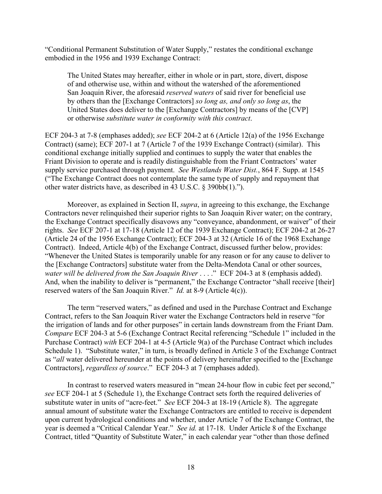"Conditional Permanent Substitution of Water Supply," restates the conditional exchange embodied in the 1956 and 1939 Exchange Contract:

The United States may hereafter, either in whole or in part, store, divert, dispose of and otherwise use, within and without the watershed of the aforementioned San Joaquin River, the aforesaid *reserved waters* of said river for beneficial use by others than the [Exchange Contractors] *so long as, and only so long as*, the United States does deliver to the [Exchange Contractors] by means of the [CVP] or otherwise *substitute water in conformity with this contract*.

ECF 204-3 at 7-8 (emphases added); *see* ECF 204-2 at 6 (Article 12(a) of the 1956 Exchange Contract) (same); ECF 207-1 at 7 (Article 7 of the 1939 Exchange Contract) (similar). This conditional exchange initially supplied and continues to supply the water that enables the Friant Division to operate and is readily distinguishable from the Friant Contractors' water supply service purchased through payment. *See Westlands Water Dist.*, 864 F. Supp. at 1545 ("The Exchange Contract does not contemplate the same type of supply and repayment that other water districts have, as described in 43 U.S.C. § 390bb(1).").

Moreover, as explained in Section II, *supra*, in agreeing to this exchange, the Exchange Contractors never relinquished their superior rights to San Joaquin River water; on the contrary, the Exchange Contract specifically disavows any "conveyance, abandonment, or waiver" of their rights. *See* ECF 207-1 at 17-18 (Article 12 of the 1939 Exchange Contract); ECF 204-2 at 26-27 (Article 24 of the 1956 Exchange Contract); ECF 204-3 at 32 (Article 16 of the 1968 Exchange Contract). Indeed, Article 4(b) of the Exchange Contract, discussed further below, provides: "Whenever the United States is temporarily unable for any reason or for any cause to deliver to the [Exchange Contractors] substitute water from the Delta-Mendota Canal or other sources, *water will be delivered from the San Joaquin River* . . . ." ECF 204-3 at 8 (emphasis added). And, when the inability to deliver is "permanent," the Exchange Contractor "shall receive [their] reserved waters of the San Joaquin River." *Id.* at 8-9 (Article 4(c)).

The term "reserved waters," as defined and used in the Purchase Contract and Exchange Contract, refers to the San Joaquin River water the Exchange Contractors held in reserve "for the irrigation of lands and for other purposes" in certain lands downstream from the Friant Dam. *Compare* ECF 204-3 at 5-6 (Exchange Contract Recital referencing "Schedule 1" included in the Purchase Contract) *with* ECF 204-1 at 4-5 (Article 9(a) of the Purchase Contract which includes Schedule 1). "Substitute water," in turn, is broadly defined in Article 3 of the Exchange Contract as "*all* water delivered hereunder at the points of delivery hereinafter specified to the [Exchange Contractors], *regardless of source*." ECF 204-3 at 7 (emphases added).

In contrast to reserved waters measured in "mean 24-hour flow in cubic feet per second," *see* ECF 204-1 at 5 (Schedule 1), the Exchange Contract sets forth the required deliveries of substitute water in units of "acre-feet." *See* ECF 204-3 at 18-19 (Article 8). The aggregate annual amount of substitute water the Exchange Contractors are entitled to receive is dependent upon current hydrological conditions and whether, under Article 7 of the Exchange Contract, the year is deemed a "Critical Calendar Year." *See id.* at 17-18. Under Article 8 of the Exchange Contract, titled "Quantity of Substitute Water," in each calendar year "other than those defined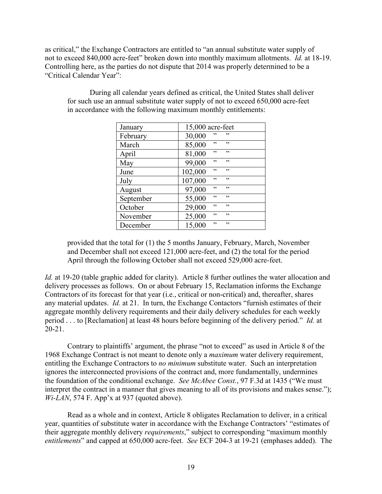as critical," the Exchange Contractors are entitled to "an annual substitute water supply of not to exceed 840,000 acre-feet" broken down into monthly maximum allotments. *Id.* at 18-19. Controlling here, as the parties do not dispute that 2014 was properly determined to be a "Critical Calendar Year":

| January   | 15,000 acre-feet    |
|-----------|---------------------|
| February  | 30,000<br>,,<br>,,  |
| March     | 85,000<br>,,<br>,,  |
| April     | 81,000<br>,,<br>,,  |
| May       | 99,000<br>,,<br>,,  |
| June      | 102,000<br>,,<br>,, |
| July      | ,,<br>,,<br>107,000 |
| August    | ,,<br>97,000<br>,,  |
| September | ,,<br>,,<br>55,000  |
| October   | 29,000<br>,,<br>,,  |
| November  | ,,<br>25,000<br>,,  |
| December  | ,,<br>15,000<br>,,  |

During all calendar years defined as critical, the United States shall deliver for such use an annual substitute water supply of not to exceed 650,000 acre-feet in accordance with the following maximum monthly entitlements:

provided that the total for (1) the 5 months January, February, March, November and December shall not exceed 121,000 acre-feet, and (2) the total for the period April through the following October shall not exceed 529,000 acre-feet.

*Id.* at 19-20 (table graphic added for clarity). Article 8 further outlines the water allocation and delivery processes as follows. On or about February 15, Reclamation informs the Exchange Contractors of its forecast for that year (i.e., critical or non-critical) and, thereafter, shares any material updates. *Id.* at 21.In turn, the Exchange Contactors "furnish estimates of their aggregate monthly delivery requirements and their daily delivery schedules for each weekly period . . . to [Reclamation] at least 48 hours before beginning of the delivery period." *Id.* at 20-21.

Contrary to plaintiffs' argument, the phrase "not to exceed" as used in Article 8 of the 1968 Exchange Contract is not meant to denote only a *maximum* water delivery requirement, entitling the Exchange Contractors to *no minimum* substitute water. Such an interpretation ignores the interconnected provisions of the contract and, more fundamentally, undermines the foundation of the conditional exchange. *See McAbee Const.*, 97 F.3d at 1435 ("We must interpret the contract in a manner that gives meaning to all of its provisions and makes sense."); *Wi-LAN*, 574 F. App'x at 937 (quoted above).

Read as a whole and in context, Article 8 obligates Reclamation to deliver, in a critical year, quantities of substitute water in accordance with the Exchange Contractors' "estimates of their aggregate monthly delivery *requirements*," subject to corresponding "maximum monthly *entitlements*" and capped at 650,000 acre-feet. *See* ECF 204-3 at 19-21 (emphases added). The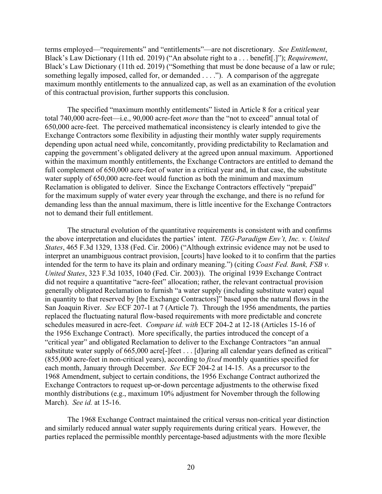terms employed—"requirements" and "entitlements"—are not discretionary. *See Entitlement*, Black's Law Dictionary (11th ed. 2019) ("An absolute right to a . . . benefit[.]"); *Requirement*, Black's Law Dictionary (11th ed. 2019) ("Something that must be done because of a law or rule; something legally imposed, called for, or demanded . . . ."). A comparison of the aggregate maximum monthly entitlements to the annualized cap, as well as an examination of the evolution of this contractual provision, further supports this conclusion.

The specified "maximum monthly entitlements" listed in Article 8 for a critical year total 740,000 acre-feet—i.e., 90,000 acre-feet *more* than the "not to exceed" annual total of 650,000 acre-feet. The perceived mathematical inconsistency is clearly intended to give the Exchange Contractors some flexibility in adjusting their monthly water supply requirements depending upon actual need while, concomitantly, providing predictability to Reclamation and capping the government's obligated delivery at the agreed upon annual maximum. Apportioned within the maximum monthly entitlements, the Exchange Contractors are entitled to demand the full complement of 650,000 acre-feet of water in a critical year and, in that case, the substitute water supply of 650,000 acre-feet would function as both the minimum and maximum Reclamation is obligated to deliver. Since the Exchange Contractors effectively "prepaid" for the maximum supply of water every year through the exchange, and there is no refund for demanding less than the annual maximum, there is little incentive for the Exchange Contractors not to demand their full entitlement.

The structural evolution of the quantitative requirements is consistent with and confirms the above interpretation and elucidates the parties' intent. *TEG-Paradigm Env't, Inc. v. United States*, 465 F.3d 1329, 1338 (Fed. Cir. 2006) ("Although extrinsic evidence may not be used to interpret an unambiguous contract provision, [courts] have looked to it to confirm that the parties intended for the term to have its plain and ordinary meaning.") (citing *Coast Fed. Bank, FSB v. United States*, 323 F.3d 1035, 1040 (Fed. Cir. 2003)). The original 1939 Exchange Contract did not require a quantitative "acre-feet" allocation; rather, the relevant contractual provision generally obligated Reclamation to furnish "a water supply (including substitute water) equal in quantity to that reserved by [the Exchange Contractors]" based upon the natural flows in the San Joaquin River. *See* ECF 207-1 at 7 (Article 7). Through the 1956 amendments, the parties replaced the fluctuating natural flow-based requirements with more predictable and concrete schedules measured in acre-feet. *Compare id. with* ECF 204-2 at 12-18 (Articles 15-16 of the 1956 Exchange Contract). More specifically, the parties introduced the concept of a "critical year" and obligated Reclamation to deliver to the Exchange Contractors "an annual substitute water supply of 665,000 acre<sup>[-</sup>]feet . . . [d]uring all calendar years defined as critical" (855,000 acre-feet in non-critical years), according to *fixed* monthly quantities specified for each month, January through December. *See* ECF 204-2 at 14-15. As a precursor to the 1968 Amendment, subject to certain conditions, the 1956 Exchange Contract authorized the Exchange Contractors to request up-or-down percentage adjustments to the otherwise fixed monthly distributions (e.g., maximum 10% adjustment for November through the following March). *See id.* at 15-16.

The 1968 Exchange Contract maintained the critical versus non-critical year distinction and similarly reduced annual water supply requirements during critical years. However, the parties replaced the permissible monthly percentage-based adjustments with the more flexible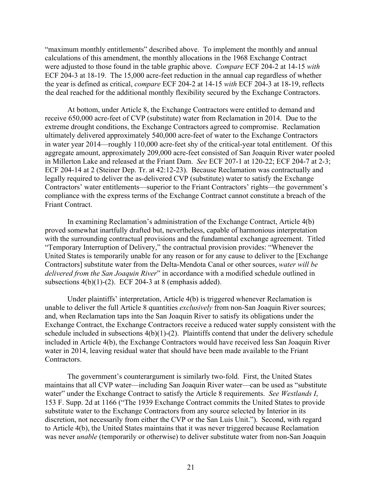"maximum monthly entitlements" described above. To implement the monthly and annual calculations of this amendment, the monthly allocations in the 1968 Exchange Contract were adjusted to those found in the table graphic above. *Compare* ECF 204-2 at 14-15 *with* ECF 204-3 at 18-19. The 15,000 acre-feet reduction in the annual cap regardless of whether the year is defined as critical, *compare* ECF 204-2 at 14-15 *with* ECF 204-3 at 18-19, reflects the deal reached for the additional monthly flexibility secured by the Exchange Contractors.

At bottom, under Article 8, the Exchange Contractors were entitled to demand and receive 650,000 acre-feet of CVP (substitute) water from Reclamation in 2014. Due to the extreme drought conditions, the Exchange Contractors agreed to compromise. Reclamation ultimately delivered approximately 540,000 acre-feet of water to the Exchange Contractors in water year 2014—roughly 110,000 acre-feet shy of the critical-year total entitlement. Of this aggregate amount, approximately 209,000 acre-feet consisted of San Joaquin River water pooled in Millerton Lake and released at the Friant Dam. *See* ECF 207-1 at 120-22; ECF 204-7 at 2-3; ECF 204-14 at 2 (Steiner Dep. Tr. at 42:12-23). Because Reclamation was contractually and legally required to deliver the as-delivered CVP (substitute) water to satisfy the Exchange Contractors' water entitlements—superior to the Friant Contractors' rights—the government's compliance with the express terms of the Exchange Contract cannot constitute a breach of the Friant Contract.

In examining Reclamation's administration of the Exchange Contract, Article 4(b) proved somewhat inartfully drafted but, nevertheless, capable of harmonious interpretation with the surrounding contractual provisions and the fundamental exchange agreement. Titled "Temporary Interruption of Delivery," the contractual provision provides: "Whenever the United States is temporarily unable for any reason or for any cause to deliver to the [Exchange Contractors] substitute water from the Delta-Mendota Canal or other sources, *water will be delivered from the San Joaquin River*" in accordance with a modified schedule outlined in subsections  $4(b)(1)-(2)$ . ECF 204-3 at 8 (emphasis added).

Under plaintiffs' interpretation, Article 4(b) is triggered whenever Reclamation is unable to deliver the full Article 8 quantities *exclusively* from non-San Joaquin River sources; and, when Reclamation taps into the San Joaquin River to satisfy its obligations under the Exchange Contract, the Exchange Contractors receive a reduced water supply consistent with the schedule included in subsections 4(b)(1)-(2). Plaintiffs contend that under the delivery schedule included in Article 4(b), the Exchange Contractors would have received less San Joaquin River water in 2014, leaving residual water that should have been made available to the Friant Contractors.

The government's counterargument is similarly two-fold. First, the United States maintains that all CVP water—including San Joaquin River water—can be used as "substitute water" under the Exchange Contract to satisfy the Article 8 requirements. *See Westlands I*, 153 F. Supp. 2d at 1166 ("The 1939 Exchange Contract commits the United States to provide substitute water to the Exchange Contractors from any source selected by Interior in its discretion, not necessarily from either the CVP or the San Luis Unit."). Second, with regard to Article 4(b), the United States maintains that it was never triggered because Reclamation was never *unable* (temporarily or otherwise) to deliver substitute water from non-San Joaquin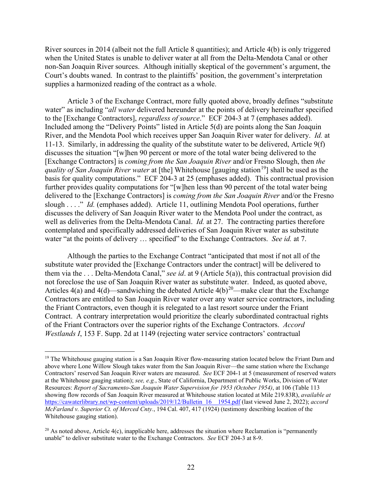River sources in 2014 (albeit not the full Article 8 quantities); and Article 4(b) is only triggered when the United States is unable to deliver water at all from the Delta-Mendota Canal or other non-San Joaquin River sources. Although initially skeptical of the government's argument, the Court's doubts waned. In contrast to the plaintiffs' position, the government's interpretation supplies a harmonized reading of the contract as a whole.

Article 3 of the Exchange Contract, more fully quoted above, broadly defines "substitute water" as including "*all water* delivered hereunder at the points of delivery hereinafter specified to the [Exchange Contractors], *regardless of source*." ECF 204-3 at 7 (emphases added). Included among the "Delivery Points" listed in Article 5(d) are points along the San Joaquin River, and the Mendota Pool which receives upper San Joaquin River water for delivery. *Id.* at 11-13. Similarly, in addressing the quality of the substitute water to be delivered, Article 9(f) discusses the situation "[w]hen 90 percent or more of the total water being delivered to the [Exchange Contractors] is *coming from the San Joaquin River* and/or Fresno Slough, then *the quality of San Joaquin River water* at [the] Whitehouse [gauging station<sup>[19](#page-21-0)</sup>] shall be used as the basis for quality computations." ECF 204-3 at 25 (emphases added). This contractual provision further provides quality computations for "[w]hen less than 90 percent of the total water being delivered to the [Exchange Contractors] is *coming from the San Joaquin River* and/or the Fresno slough . . . ." *Id.* (emphases added). Article 11, outlining Mendota Pool operations, further discusses the delivery of San Joaquin River water to the Mendota Pool under the contract, as well as deliveries from the Delta-Mendota Canal. *Id.* at 27. The contracting parties therefore contemplated and specifically addressed deliveries of San Joaquin River water as substitute water "at the points of delivery … specified" to the Exchange Contractors. *See id.* at 7.

Although the parties to the Exchange Contract "anticipated that most if not all of the substitute water provided the [Exchange Contractors under the contract] will be delivered to them via the . . . Delta-Mendota Canal," *see id*. at 9 (Article 5(a)), this contractual provision did not foreclose the use of San Joaquin River water as substitute water. Indeed, as quoted above, Articles 4(a) and 4(d)—sandwiching the debated Article  $4(b)^{20}$  $4(b)^{20}$  $4(b)^{20}$ —make clear that the Exchange Contractors are entitled to San Joaquin River water over any water service contractors, including the Friant Contractors, even though it is relegated to a last resort source under the Friant Contract. A contrary interpretation would prioritize the clearly subordinated contractual rights of the Friant Contractors over the superior rights of the Exchange Contractors. *Accord Westlands I*, 153 F. Supp. 2d at 1149 (rejecting water service contractors' contractual

<span id="page-21-0"></span><sup>&</sup>lt;sup>19</sup> The Whitehouse gauging station is a San Joaquin River flow-measuring station located below the Friant Dam and above where Lone Willow Slough takes water from the San Joaquin River—the same station where the Exchange Contractors' reserved San Joaquin River waters are measured. *See* ECF 204-1 at 5 (measurement of reserved waters at the Whitehouse gauging station); *see, e.g.*, State of California, Department of Public Works, Division of Water Resources: *Report of Sacramento-San Joaquin Water Supervision for 1953 (October 1954)*, at 106 (Table 113 showing flow records of San Joaquin River measured at Whitehouse station located at Mile 219.83R), *available at* [https://cawaterlibrary.net/wp-content/uploads/2019/12/Bulletin\\_16\\_\\_1954.pdf](https://cawaterlibrary.net/wp-content/uploads/2019/12/Bulletin_16__1954.pdf) (last viewed June 2, 2022); *accord McFarland v. Superior Ct. of Merced Cnty.*, 194 Cal. 407, 417 (1924) (testimony describing location of the Whitehouse gauging station).

<span id="page-21-1"></span><sup>&</sup>lt;sup>20</sup> As noted above, Article  $4(c)$ , inapplicable here, addresses the situation where Reclamation is "permanently" unable" to deliver substitute water to the Exchange Contractors. *See* ECF 204-3 at 8-9.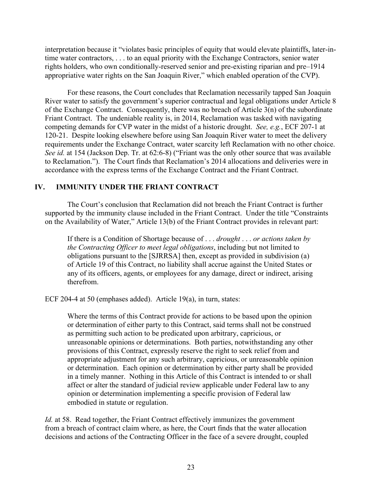interpretation because it "violates basic principles of equity that would elevate plaintiffs, later-intime water contractors, . . . to an equal priority with the Exchange Contractors, senior water rights holders, who own conditionally-reserved senior and pre-existing riparian and pre–1914 appropriative water rights on the San Joaquin River," which enabled operation of the CVP).

For these reasons, the Court concludes that Reclamation necessarily tapped San Joaquin River water to satisfy the government's superior contractual and legal obligations under Article 8 of the Exchange Contract. Consequently, there was no breach of Article 3(n) of the subordinate Friant Contract. The undeniable reality is, in 2014, Reclamation was tasked with navigating competing demands for CVP water in the midst of a historic drought. *See, e.g.*, ECF 207-1 at 120-21. Despite looking elsewhere before using San Joaquin River water to meet the delivery requirements under the Exchange Contract, water scarcity left Reclamation with no other choice. *See id.* at 154 (Jackson Dep. Tr. at 62:6-8) ("Friant was the only other source that was available to Reclamation."). The Court finds that Reclamation's 2014 allocations and deliveries were in accordance with the express terms of the Exchange Contract and the Friant Contract.

# **IV. IMMUNITY UNDER THE FRIANT CONTRACT**

The Court's conclusion that Reclamation did not breach the Friant Contract is further supported by the immunity clause included in the Friant Contract. Under the title "Constraints on the Availability of Water," Article 13(b) of the Friant Contract provides in relevant part:

If there is a Condition of Shortage because of . . . *drought* . . . *or actions taken by the Contracting Officer to meet legal obligations*, including but not limited to obligations pursuant to the [SJRRSA] then, except as provided in subdivision (a) of Article 19 of this Contract, no liability shall accrue against the United States or any of its officers, agents, or employees for any damage, direct or indirect, arising therefrom.

ECF 204-4 at 50 (emphases added). Article 19(a), in turn, states:

Where the terms of this Contract provide for actions to be based upon the opinion or determination of either party to this Contract, said terms shall not be construed as permitting such action to be predicated upon arbitrary, capricious, or unreasonable opinions or determinations. Both parties, notwithstanding any other provisions of this Contract, expressly reserve the right to seek relief from and appropriate adjustment for any such arbitrary, capricious, or unreasonable opinion or determination. Each opinion or determination by either party shall be provided in a timely manner. Nothing in this Article of this Contract is intended to or shall affect or alter the standard of judicial review applicable under Federal law to any opinion or determination implementing a specific provision of Federal law embodied in statute or regulation.

*Id.* at 58. Read together, the Friant Contract effectively immunizes the government from a breach of contract claim where, as here, the Court finds that the water allocation decisions and actions of the Contracting Officer in the face of a severe drought, coupled